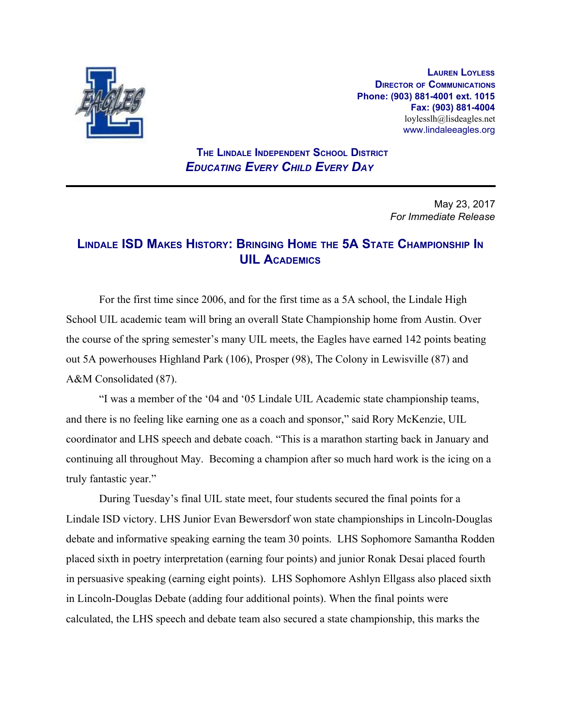

**LAUREN LOYLESS DIRECTOR OF COMMUNICATIONS Phone: (903) 881-4001 ext. 1015 Fax: (903) 881-4004** loylesslh@lisdeagles.net www.lindaleeagles.org

 **THE LINDALE INDEPENDENT SCHOOL DISTRICT** *EDUCATING EVERY CHILD EVERY DAY*

> May 23, 2017 *For Immediate Release*

## **LINDALE ISD MAKES HISTORY: BRINGING HOME THE 5A STATE CHAMPIONSHIP I<sup>N</sup> UIL ACADEMICS**

For the first time since 2006, and for the first time as a 5A school, the Lindale High School UIL academic team will bring an overall State Championship home from Austin. Over the course of the spring semester's many UIL meets, the Eagles have earned 142 points beating out 5A powerhouses Highland Park (106), Prosper (98), The Colony in Lewisville (87) and A&M Consolidated (87).

"I was a member of the '04 and '05 Lindale UIL Academic state championship teams, and there is no feeling like earning one as a coach and sponsor," said Rory McKenzie, UIL coordinator and LHS speech and debate coach. "This is a marathon starting back in January and continuing all throughout May. Becoming a champion after so much hard work is the icing on a truly fantastic year."

During Tuesday's final UIL state meet, four students secured the final points for a Lindale ISD victory. LHS Junior Evan Bewersdorf won state championships in Lincoln-Douglas debate and informative speaking earning the team 30 points. LHS Sophomore Samantha Rodden placed sixth in poetry interpretation (earning four points) and junior Ronak Desai placed fourth in persuasive speaking (earning eight points). LHS Sophomore Ashlyn Ellgass also placed sixth in Lincoln-Douglas Debate (adding four additional points). When the final points were calculated, the LHS speech and debate team also secured a state championship, this marks the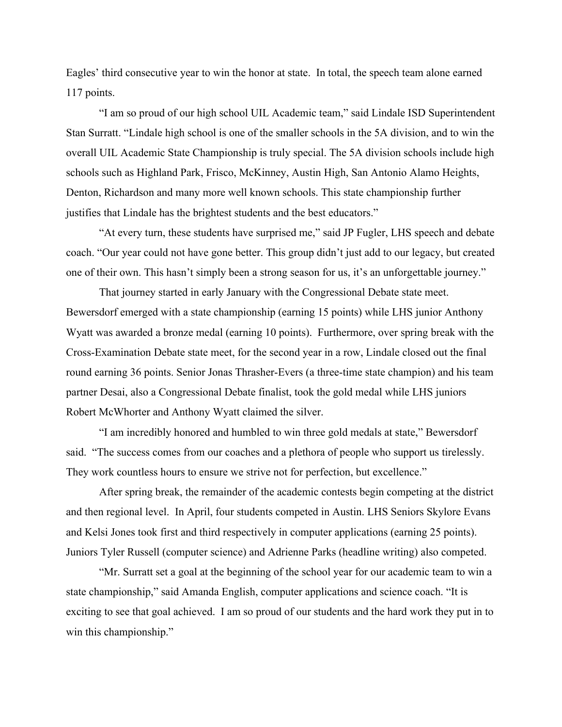Eagles' third consecutive year to win the honor at state. In total, the speech team alone earned 117 points.

"I am so proud of our high school UIL Academic team," said Lindale ISD Superintendent Stan Surratt. "Lindale high school is one of the smaller schools in the 5A division, and to win the overall UIL Academic State Championship is truly special. The 5A division schools include high schools such as Highland Park, Frisco, McKinney, Austin High, San Antonio Alamo Heights, Denton, Richardson and many more well known schools. This state championship further justifies that Lindale has the brightest students and the best educators."

"At every turn, these students have surprised me," said JP Fugler, LHS speech and debate coach. "Our year could not have gone better. This group didn't just add to our legacy, but created one of their own. This hasn't simply been a strong season for us, it's an unforgettable journey."

That journey started in early January with the Congressional Debate state meet. Bewersdorf emerged with a state championship (earning 15 points) while LHS junior Anthony Wyatt was awarded a bronze medal (earning 10 points). Furthermore, over spring break with the Cross-Examination Debate state meet, for the second year in a row, Lindale closed out the final round earning 36 points. Senior Jonas Thrasher-Evers (a three-time state champion) and his team partner Desai, also a Congressional Debate finalist, took the gold medal while LHS juniors Robert McWhorter and Anthony Wyatt claimed the silver.

"I am incredibly honored and humbled to win three gold medals at state," Bewersdorf said. "The success comes from our coaches and a plethora of people who support us tirelessly. They work countless hours to ensure we strive not for perfection, but excellence."

After spring break, the remainder of the academic contests begin competing at the district and then regional level. In April, four students competed in Austin. LHS Seniors Skylore Evans and Kelsi Jones took first and third respectively in computer applications (earning 25 points). Juniors Tyler Russell (computer science) and Adrienne Parks (headline writing) also competed.

"Mr. Surratt set a goal at the beginning of the school year for our academic team to win a state championship," said Amanda English, computer applications and science coach. "It is exciting to see that goal achieved. I am so proud of our students and the hard work they put in to win this championship."